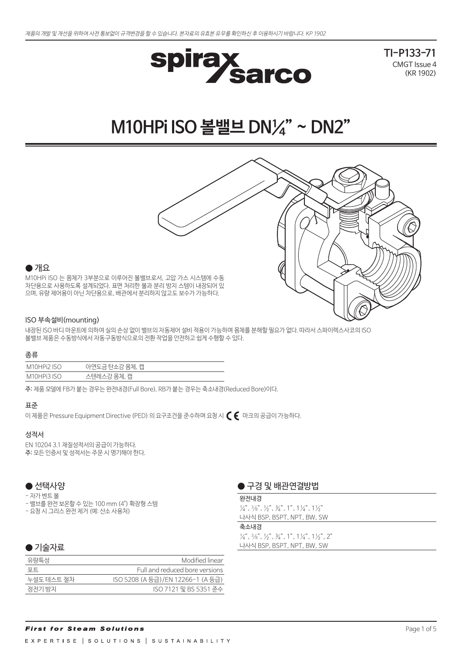

**TI-P133-71** CMGT Issue 4 (KR 1902)

# **M10HPi ISO 볼밸브 DN¼" ~ DN2"**



## $\bullet$  개요

M10HPi ISO 는 몸체가 3부분으로 이루어진 볼밸브로서, 고압 가스 시스템에 수동 차단용으로 사용하도록 설계되었다. 표면 처리한 볼과 분리 방지 스템이 내장되어 있 으며, 유량 제어용이 아닌 차단용으로, 배관에서 분리하지 않고도 보수가 가능하다.

## ISO 부속설비(mounting)

내장된 ISO 바디 마운트에 의하여 실의 손상 없이 밸브의 자동제어 설비 적용이 가능하며 몸체를 분해할 필요가 없다. 따라서 스파이렉스사코의 ISO 볼밸브 제품은 수동방식에서 자동구동방식으로의 전환 작업을 안전하고 쉽게 수행할 수 있다.

## 종류

| $\overline{150}$<br>M<br>11 H11 | 캡<br>$\sim$ $\sim$ |
|---------------------------------|--------------------|
| רא דיםו                         | 캡<br>◡             |

주: 제품 모델에 FB가 붙는 경우는 완전내경(Full Bore), RB가 붙는 경우는 축소내경(Reduced Bore)이다.

## 표준

이 제품은 Pressure Equipment Directive (PED) 의 요구조건을 준수하며 요청 시 $\,C \,\,\bm{\epsilon} \,$  마크의 공급이 가능하다.

## 성적서

EN 10204 3.1 재질성적서의 공급이 가능하다. 주: 모든 인증서 및 성적서는 주문 시 명기해야 한다.

## ● 선택사양

- 자가 벤트 볼

- 밸브를 완전 보온할 수 있는 100 mm (4") 확장형 스템
- 요청 시 그리스 완전 제거 (예: 산소 사용처)

## ● 기술자료

| 유량특성       | Modified linear                   |
|------------|-----------------------------------|
| 포트         | Full and reduced bore versions    |
| 누설도 테스트 절차 | ISO 5208 (A 등급)/EN 12266-1 (A 등급) |
| 정전기 방지     | ISO 7121 밓 BS 5351 준수             |
|            |                                   |

## ● 구경 및 배관연결방법

## 완전내경

 $\frac{1}{4}$ ,  $\frac{3}{8}$ ,  $\frac{1}{2}$ ,  $\frac{3}{4}$ ,  $\frac{3}{4}$ ,  $\frac{1}{1}$ ,  $\frac{1}{4}$ ,  $\frac{1}{4}$ ,  $\frac{1}{2}$ 나사식 BSP, BSPT, NPT, BW, SW

### 축소내경

 $\frac{1}{4}$ ,  $\frac{3}{8}$ ,  $\frac{1}{2}$ ,  $\frac{3}{4}$ ,  $\frac{3}{4}$ ,  $\frac{1}{1}$ ,  $\frac{1}{4}$ ,  $\frac{1}{2}$ ,  $\frac{1}{2}$ ,  $\frac{2}{1}$ 나사식 BSP, BSPT, NPT, BW, SW

## **First for Steam Solutions** EXPERTISE | SOLUTIONS | SUSTAINABILITY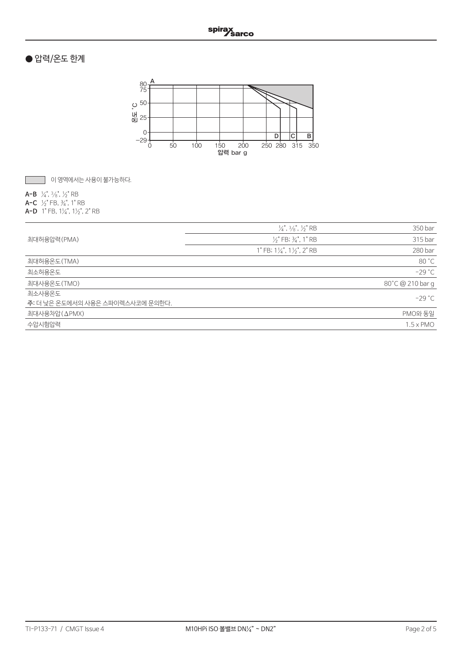## ● 압력/온도 한계



이 영역에서는 사용이 불가능하다.

**A-B** ¼", 3/8", ½" RB

**A-C** ½" FB, ¾", 1" RB **A-D** 1" FB, 1¼", 1½", 2" RB

|                                  | $\frac{1}{4}$ , $\frac{3}{8}$ , $\frac{1}{2}$ RB | 350 bar          |
|----------------------------------|--------------------------------------------------|------------------|
| 최대허용압력(PMA)                      | $\frac{1}{2}$ " FB; $\frac{2}{4}$ ", 1" RB       | 315 bar          |
|                                  | 1" FB; $1\frac{1}{4}$ ", $1\frac{1}{2}$ ", 2" RB | 280 bar          |
| 최대허용온도(TMA)                      |                                                  | 80 °C            |
| 최소허용온도                           |                                                  | $-29 °C$         |
| 최대사용온도(TMO)                      |                                                  | 80°C @ 210 bar g |
| 최소사용온도                           |                                                  | $-29 °C$         |
| 주: 더 낮은 온도에서의 사용은 스파이렉스사코에 문의한다. |                                                  |                  |
| 최대사용차압(ΔPMX)                     |                                                  | PMO와 동일          |
| 수압시험압력                           |                                                  | $1.5 \times PMO$ |
|                                  |                                                  |                  |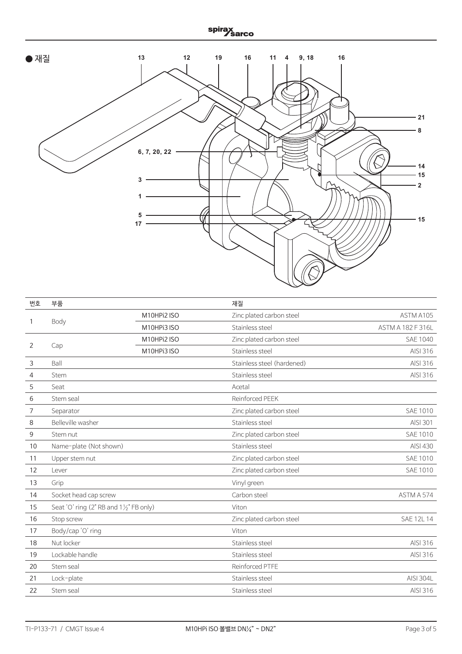# spirax<br><u>Sarco</u>



| 번호 | 부품                                                 |             | 재질                         |                   |
|----|----------------------------------------------------|-------------|----------------------------|-------------------|
|    |                                                    | M10HPi2 ISO | Zinc plated carbon steel   | ASTM A105         |
| 1  | Body                                               | M10HPi3 ISO | Stainless steel            | ASTM A 182 F 316L |
|    |                                                    | M10HPi2 ISO | Zinc plated carbon steel   | SAE 1040          |
| 2  | Cap                                                | M10HPi3 ISO | Stainless steel            | AISI 316          |
| 3  | Ball                                               |             | Stainless steel (hardened) | AISI 316          |
| 4  | Stem                                               |             | Stainless steel            | AISI 316          |
| 5  | Seat                                               |             | Acetal                     |                   |
| 6  | Stem seal                                          |             | Reinforced PEEK            |                   |
| 7  | Separator                                          |             | Zinc plated carbon steel   | <b>SAE 1010</b>   |
| 8  | Belleville washer                                  |             | Stainless steel            | AISI 301          |
| 9  | Stem nut                                           |             | Zinc plated carbon steel   | <b>SAE 1010</b>   |
| 10 | Name-plate (Not shown)                             |             | Stainless steel            | AISI 430          |
| 11 | Upper stem nut                                     |             | Zinc plated carbon steel   | <b>SAE 1010</b>   |
| 12 | Lever                                              |             | Zinc plated carbon steel   | <b>SAE 1010</b>   |
| 13 | Grip                                               |             | Vinyl green                |                   |
| 14 | Socket head cap screw                              |             | Carbon steel               | ASTM A 574        |
| 15 | Seat 'O' ring (2" RB and $1\frac{1}{2}$ " FB only) |             | Viton                      |                   |
| 16 | Stop screw                                         |             | Zinc plated carbon steel   | SAE 12L 14        |
| 17 | Body/cap 'O' ring                                  |             | Viton                      |                   |
| 18 | Nut locker                                         |             | Stainless steel            | AISI 316          |
| 19 | Lockable handle                                    |             | Stainless steel            | AISI 316          |
| 20 | Stem seal                                          |             | Reinforced PTFE            |                   |
| 21 | Lock-plate                                         |             | Stainless steel            | <b>AISI 304L</b>  |
| 22 | Stem seal                                          |             | Stainless steel            | AISI 316          |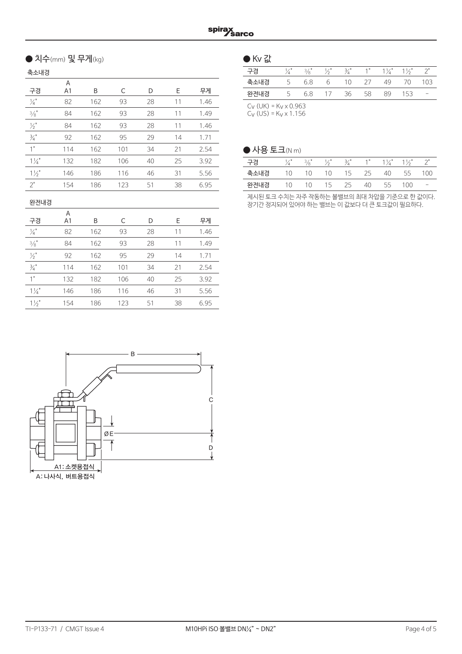## ● 치수 $(mm) \nsubseteq$  무게 $(kg)$   $\qquad \qquad \bullet$  Kv 값

축소내경

| ¬∸⊣∪           |                     |     |     |    |    |      |
|----------------|---------------------|-----|-----|----|----|------|
| 구경             | Α<br>A <sub>1</sub> | B   | C   | D  | Е  | 무게   |
| $\frac{1}{4}$  | 82                  | 162 | 93  | 28 | 11 | 1.46 |
| $\frac{3}{8}$  | 84                  | 162 | 93  | 28 | 11 | 1.49 |
| $\frac{1}{2}$  | 84                  | 162 | 93  | 28 | 11 | 1.46 |
| $\frac{3}{4}$  | 92                  | 162 | 95  | 29 | 14 | 1.71 |
| 1"             | 114                 | 162 | 101 | 34 | 21 | 2.54 |
| $1\frac{1}{4}$ | 132                 | 182 | 106 | 40 | 25 | 3.92 |
| $1\frac{1}{2}$ | 146                 | 186 | 116 | 46 | 31 | 5.56 |
| 2"             | 154                 | 186 | 123 | 51 | 38 | 6.95 |
|                |                     |     |     |    |    |      |

## 완전내경

|                | Α              |     |     |    |    |      |
|----------------|----------------|-----|-----|----|----|------|
| 구경             | A <sub>1</sub> | B   | C   | D  | F  | 무게   |
| $\frac{1}{4}$  | 82             | 162 | 93  | 28 | 11 | 1.46 |
| $\frac{3}{8}$  | 84             | 162 | 93  | 28 | 11 | 1.49 |
| $\frac{1}{2}$  | 92             | 162 | 95  | 29 | 14 | 1.71 |
| $\frac{3}{4}$  | 114            | 162 | 101 | 34 | 21 | 2.54 |
| 1"             | 132            | 182 | 106 | 40 | 25 | 3.92 |
| $1\frac{1}{4}$ | 146            | 186 | 116 | 46 | 31 | 5.56 |
| $1\frac{1}{2}$ | 154            | 186 | 123 | 51 | 38 | 6.95 |



| ---- |     |                    |       |    |     |      |
|------|-----|--------------------|-------|----|-----|------|
| 구경   | 3/2 | $3/$ <sup>11</sup> | $4$ H | Ί  |     |      |
| 축소내경 | 68  | 1 N                |       | 49 | /() | () ⊰ |
| 완전내경 | 68  | 36                 | 58    | RQ | '53 |      |
|      |     |                    |       |    |     |      |

 $C_V$  (UK) =  $K_V \times 0.963$  $C_V$  (US) = K<sub>V</sub> x 1.156

## $\bigcirc$  사용 토크(N m)

| 구경   |    | 3/6" |     | 3/ |    |    | 1½" |   |
|------|----|------|-----|----|----|----|-----|---|
| 축소내경 | 10 | 10   | 10  | 15 | 25 | 40 | 55  | n |
| 완전내경 | 10 | 10   | 15. | 25 | 40 | 55 | 100 |   |

제시된 토크 수치는 자주 작동하는 볼밸브의 최대 차압을 기준으로 한 값이다. 장기간 정지되어 있어야 하는 밸브는 이 값보다 더 큰 토크값이 필요하다.